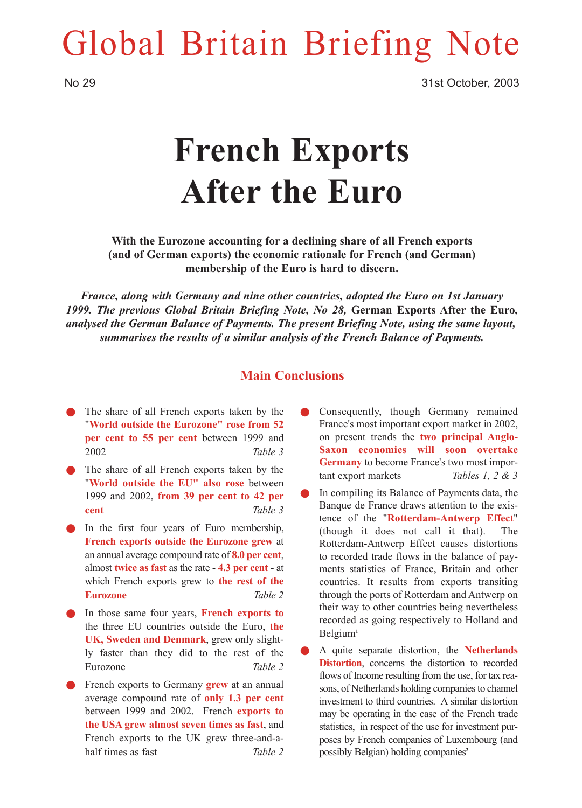## Global Britain Briefing Note

# **French Exports After the Euro**

**With the Eurozone accounting for a declining share of all French exports (and of German exports) the economic rationale for French (and German) membership of the Euro is hard to discern.**

*France, along with Germany and nine other countries, adopted the Euro on 1st January 1999. The previous Global Britain Briefing Note, No 28,* **German Exports After the Euro***, analysed the German Balance of Payments. The present Briefing Note, using the same layout, summarises the results of a similar analysis of the French Balance of Payments.*

### **Main Conclusions**

- The share of all French exports taken by the "**World outside the Eurozone" rose from 52 per cent to 55 per cent** between 1999 and 2002 *Table 3*
- The share of all French exports taken by the "**World outside the EU" also rose** between 1999 and 2002, **from 39 per cent to 42 per cent** *Table 3*
- In the first four years of Euro membership, **French exports outside the Eurozone grew** at an annual average compound rate of **8.0 per cent**, almost **twice as fast** as the rate - **4.3 per cent** - at which French exports grew to **the rest of the Eurozone** *Table 2*
- In those same four years, **French exports to** the three EU countries outside the Euro, **the UK, Sweden and Denmark**, grew only slightly faster than they did to the rest of the Eurozone *Table 2*
- French exports to Germany **grew** at an annual average compound rate of **only 1.3 per cent** between 1999 and 2002. French **exports to the USA grew almost seven times as fast**, and French exports to the UK grew three-and-ahalf times as fast *Table 2*
- Consequently, though Germany remained France's most important export market in 2002, on present trends the **two principal Anglo-Saxon economies will soon overtake Germany** to become France's two most important export markets *Tables 1, 2 & 3*
- In compiling its Balance of Payments data, the Banque de France draws attention to the existence of the "**Rotterdam-Antwerp Effect**" (though it does not call it that). The Rotterdam-Antwerp Effect causes distortions to recorded trade flows in the balance of payments statistics of France, Britain and other countries. It results from exports transiting through the ports of Rotterdam and Antwerp on their way to other countries being nevertheless recorded as going respectively to Holland and Belgium**<sup>1</sup>**
- Q A quite separate distortion, the **Netherlands Distortion**, concerns the distortion to recorded flows of Income resulting from the use, for tax reasons, of Netherlands holding companies to channel investment to third countries. A similar distortion may be operating in the case of the French trade statistics, in respect of the use for investment purposes by French companies of Luxembourg (and possibly Belgian) holding companies**<sup>2</sup>**